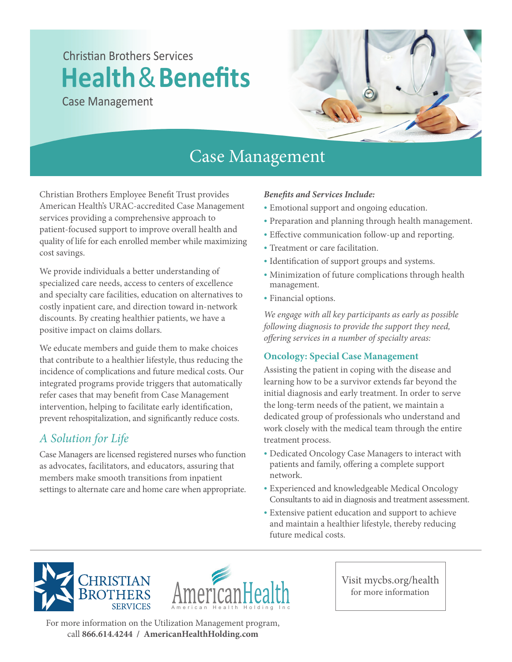# **Christian Brothers Services Health**&**Benefits**

Case Management



## Case Management

Christian Brothers Employee Benefit Trust provides American Health's URAC-accredited Case Management services providing a comprehensive approach to patient-focused support to improve overall health and quality of life for each enrolled member while maximizing cost savings.

We provide individuals a better understanding of specialized care needs, access to centers of excellence and specialty care facilities, education on alternatives to costly inpatient care, and direction toward in-network discounts. By creating healthier patients, we have a positive impact on claims dollars.

We educate members and guide them to make choices that contribute to a healthier lifestyle, thus reducing the incidence of complications and future medical costs. Our integrated programs provide triggers that automatically refer cases that may benefit from Case Management intervention, helping to facilitate early identification, prevent rehospitalization, and significantly reduce costs.

### *A Solution for Life*

Case Managers are licensed registered nurses who function as advocates, facilitators, and educators, assuring that members make smooth transitions from inpatient settings to alternate care and home care when appropriate.

#### *Benets and Services Include:*

- Emotional support and ongoing education.
- Preparation and planning through health management.
- Effective communication follow-up and reporting.
- Treatment or care facilitation.
- Identification of support groups and systems.
- Minimization of future complications through health management.
- Financial options.

*We engage with all key participants as early as possible following diagnosis to provide the support they need,*  offering services in a number of specialty areas:

#### **Oncology: Special Case Management**

Assisting the patient in coping with the disease and learning how to be a survivor extends far beyond the initial diagnosis and early treatment. In order to serve the long-term needs of the patient, we maintain a dedicated group of professionals who understand and work closely with the medical team through the entire treatment process.

- Dedicated Oncology Case Managers to interact with patients and family, offering a complete support network.
- Experienced and knowledgeable Medical Oncology Consultants to aid in diagnosis and treatment assessment.
- Extensive patient education and support to achieve and maintain a healthier lifestyle, thereby reducing future medical costs.





Visit mycbs.org/health for more information

For more information on the Utilization Management program, call **866.614.4244 / AmericanHealthHolding.com**